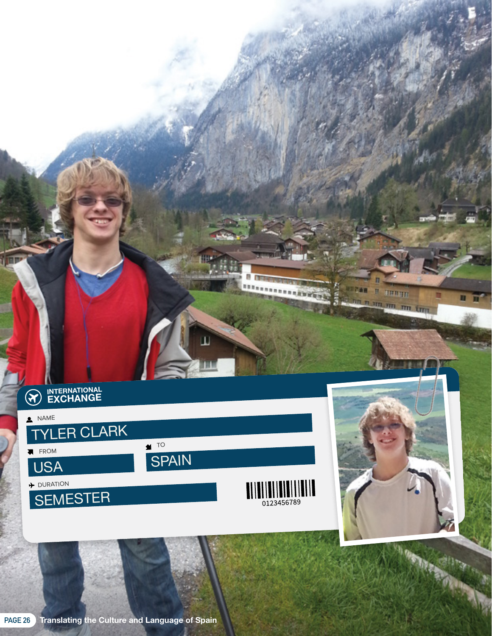

TYLER CLARK A NAME

TO

Ш

**A** FROM

USA SPAIN

## + DURATION

## **SEMESTER**





¥П.

**H** HULBE

un un un tun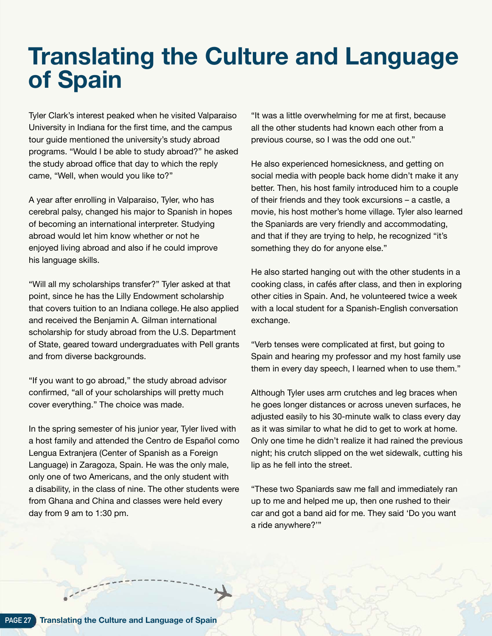## **Translating the Culture and Language of Spain**

Tyler Clark's interest peaked when he visited Valparaiso University in Indiana for the first time, and the campus tour guide mentioned the university's study abroad programs. "Would I be able to study abroad?" he asked the study abroad office that day to which the reply came, "Well, when would you like to?"

A year after enrolling in Valparaiso, Tyler, who has cerebral palsy, changed his major to Spanish in hopes of becoming an international interpreter. Studying abroad would let him know whether or not he enjoyed living abroad and also if he could improve his language skills.

"Will all my scholarships transfer?" Tyler asked at that point, since he has the Lilly Endowment scholarship that covers tuition to an Indiana college. He also applied and received the Benjamin A. Gilman international scholarship for study abroad from the U.S. Department of State, geared toward undergraduates with Pell grants and from diverse backgrounds.

"If you want to go abroad," the study abroad advisor confirmed, "all of your scholarships will pretty much cover everything." The choice was made.

In the spring semester of his junior year, Tyler lived with a host family and attended the Centro de Español como Lengua Extranjera (Center of Spanish as a Foreign Language) in Zaragoza, Spain. He was the only male, only one of two Americans, and the only student with a disability, in the class of nine. The other students were from Ghana and China and classes were held every day from 9 am to 1:30 pm.

"It was a little overwhelming for me at first, because all the other students had known each other from a previous course, so I was the odd one out."

He also experienced homesickness, and getting on social media with people back home didn't make it any better. Then, his host family introduced him to a couple of their friends and they took excursions – a castle, a movie, his host mother's home village. Tyler also learned the Spaniards are very friendly and accommodating, and that if they are trying to help, he recognized "it's something they do for anyone else."

He also started hanging out with the other students in a cooking class, in cafés after class, and then in exploring other cities in Spain. And, he volunteered twice a week with a local student for a Spanish-English conversation exchange.

"Verb tenses were complicated at first, but going to Spain and hearing my professor and my host family use them in every day speech, I learned when to use them."

Although Tyler uses arm crutches and leg braces when he goes longer distances or across uneven surfaces, he adjusted easily to his 30-minute walk to class every day as it was similar to what he did to get to work at home. Only one time he didn't realize it had rained the previous night; his crutch slipped on the wet sidewalk, cutting his lip as he fell into the street.

"These two Spaniards saw me fall and immediately ran up to me and helped me up, then one rushed to their car and got a band aid for me. They said 'Do you want a ride anywhere?'"

.................. --------- . ., -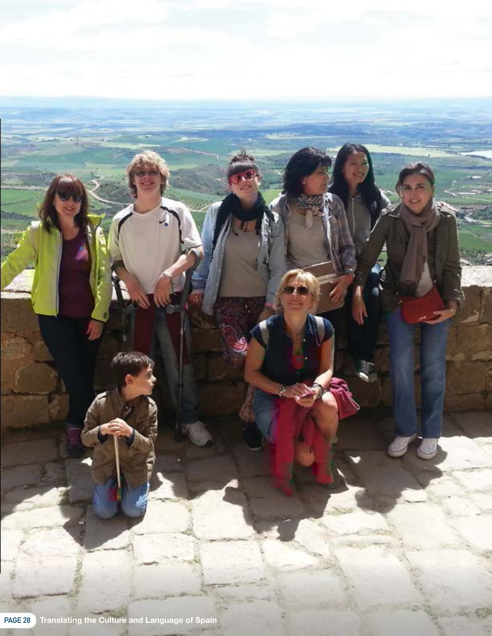